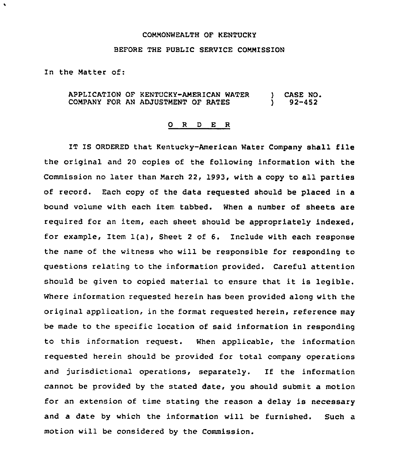## COMMONWEALTH OF KENTUCKY

## BEFORE THE PUBLIC SERVICE COMMISSION

In the Matter of:

 $\bullet$ 

APPLICATION OF KENTUCKY-AMERICAN WATER COMPANY FOR AN ADJUSTMENT OF RATES ) CASE NO. ) 92-452

## 0 R <sup>D</sup> E R

IT IS ORDERED that Kentucky-American Water Company shall file the original and 20 copies of the following information with the Commission no later than March 22, 1993, with a copy to all parties of record. Each copy of the data requested should be placed in a bound volume with each item tabbed. When a number of sheets are required for an item, each sheet should be appropriately indexed, for example, Item  $l(a)$ , Sheet 2 of 6. Include with each response the name of the witness who will be responsible for responding to questions relating to the information provided. Careful attention should be given to copied material to ensure that it is legible. Where information requested herein has been provided along with the original application, in the format requested herein, reference may be made to the specific location of said information in responding to this information request. When applicable, the information requested herein should be provided for total company operations and jurisdictional operations, separately. If the information cannot be provided by the stated date, you should submit a motion for an extension of time stating the reason a delay is necessary and a date by which the information will be furnished. Such a motion will be considered by the Commission.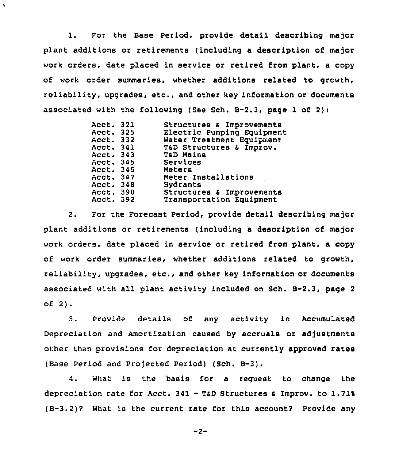l. For the Base Period, provide detail describing major plant additions or retirements (including a description of major work orders, date placed in service or retired from plant, a copy of work order summaries, whether additions related to growth, reliability, upgrades, etc., and other key information or documents associated with the following (See Sch.  $B-2.3$ , page 1 of 2):

 $\blacktriangleleft$ 

| Acct. 321 | Structures & Improvements  |
|-----------|----------------------------|
|           |                            |
| Acct. 325 | Electric Pumping Equipment |
| Acct. 332 | Water Treatment Equipment  |
| Acct. 341 | T&D Structures & Improv.   |
| Acct. 343 | T&D Mains                  |
| Acct. 345 | Services                   |
| Acct. 346 | Meters                     |
| Acct. 347 | Meter Installations        |
| Acct. 348 | Hydrants                   |
| Acct. 390 | Structures & Improvements  |
| Acct. 392 | Transportation Equipment   |
|           |                            |

2. For the Forecast Period, provide detail describing major plant additions or retirements (including a description of major work orders, date placed in service or retired from plant, a copy of work order summaries, whether additions related to growth, reliability, upgrades, etc., and other key information or documents associated with all plant activity included on Sch. B-2.3, page <sup>2</sup> of 2).

3. Provide details of any activity in Accumulated Depreciation and Amortization caused by accruals oz adjustments other than provisions for depreciation at currently approved rates (Base Period and Projected Period) (Sch. B-3).

4. What is the basis for a request to change the depreciation rate for Acct. 341 - T&D Structures & Improv. to 1.71% (B-3.2)? What is the current rate for this account? Provide any

$$
-2 -
$$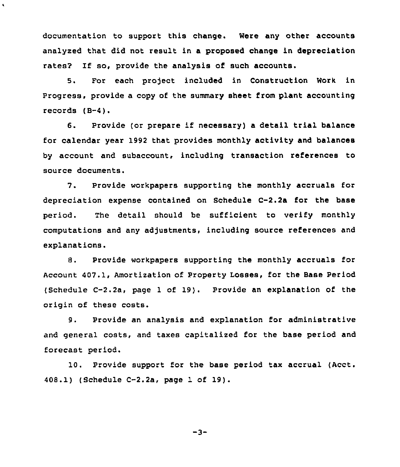documentation to support this change. Were any other accounts analyzed that did not result in a proposed change in depreciation rates? If so, provide the analysis of such accounts.

 $\hat{\textbf{v}}$ 

5. For each project included in Construction Work in Progress, provide a copy of the summary sheet from plant accounting records (B-4).

6. Provide (or prepare if necessary) <sup>a</sup> detail trial balance for calendar year 1992 that provides monthly activity and balances by account and subaccount, including transaction references to source documents.

7. Provide workpapers supporting the monthly accruals for depreciation expense contained on Schedule C-2.2a for the base period. The detail should be sufficient to verify monthly computations and any adjustments, including source references and explanations.

8. Provide workpapers supporting the monthly accruals for Account 407.1, Amortization of Property Losses, for the Base Period (Schedule C-2.2a, page <sup>1</sup> of 19}. Provide an explanation of the origin of these costs.

9. Provide an analysis and explanation for administrative and general costs, and taxes capitalized for the base period and forecast period.

10. Provide support for the base period tax accrual (Acct. 408.1) (Schedule C-2.2a, page 1 of 19).

$$
-3-
$$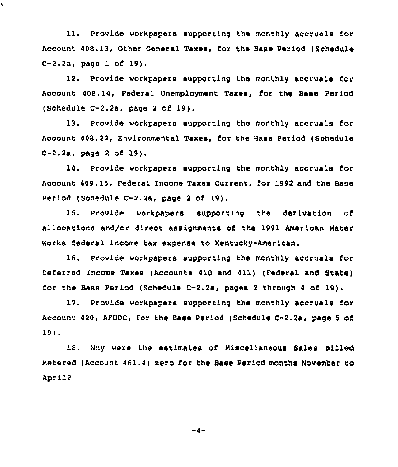ll. Provide workpapers supporting the monthly accruals for Account 408.13, Other Ceneral Taxes, for the Bass Period (Schedule C-2.2a, page <sup>1</sup> of 19).

 $\lambda$ 

12. Provide workpapers supporting the monthly accruals for Account 408. 14, Federal Unemployment Taxes, for the Base Period (Schedule C-2.2a, page <sup>2</sup> of 19).

13. Provide workpapers supporting the monthly accruals for Account 408.22, Environmental Taxes, for the Base Period (Schedule C-2.2a, page <sup>2</sup> of 19).

14. Provide workpapers supporting the monthly accruals for Account 409.15, Federal Income Taxes Current, for 1992 and the Base period (Schedule C-2.2a, page <sup>2</sup> of 19).

15. Provide workpapers supporting the derivation of allocations and/or direct assignments of the 1991 American Water Works federal income tax expense to Kentucky-American.

16. Provide workpapers supporting the monthly accruals for Deferred Income Taxes (Accounts 410 and 411) (Federal and Btate) for the Base Period (Schedule  $C-2.2a$ , pages 2 through 4 of 19).

17. Provide workpapers supporting the monthly accruals for Account 420, AFUDC, for the Base Period (Schedule C-2.2a, page <sup>5</sup> of 19) <sup>~</sup>

18. Why were the estimates of Miscellaneous Bales Billed Metered (Account 461.4) sero for the Base Period months November to April?

 $-4-$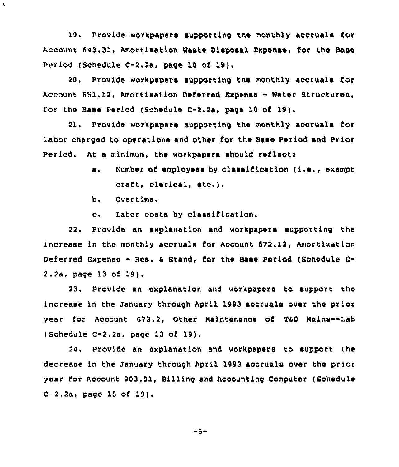19. Provide workpapers supporting the monthly accruals for Account 643.31, Amortisation Waste Disposal Expense, for the Base Period (Schedule C-2.2a, page 10 of 19).

20, Provide workpapers supporting the monthly accruala for Account 651.12, Amortization Deferred Expense - Water Structures, for the Base Period (Schedule C-2.2a, page 10 of 19),

21. Provide workpapers supporting the monthly accruals for labor charged to operations and other for the Base Period and Prior Period. At a minimum, the workpapers should reflect:

- a. Number of employees by classification (i.e., exempt craft, clerical, etc.).
- b. Overtime,

 $\bar{\phantom{a}}$ 

c. Labor costs by classification,

22. Provide an explanation and workpapers supporting the increase in the monthly accruals for Account 672.12, Amortixation Deferred Expense - Res. & Stand, for the Base Period (Schedule C-2.2a, page 13 of 19).

23. Provide an explanation and workpapers to support the increase in the January through April 1993 accruals over the prior year for Account 673.2, Other Maintenance of T&D Nains--Lab (Schedule  $C-2.2a$ , page 13 of 19).

24. Provide an explanation and workpapers to support the decrease in the January through April 1993 accruals over the prior year for Account 903.51, Billing and Accounting Computer (Schedule C-2.2a, page 15 of 19).

$$
-5 -
$$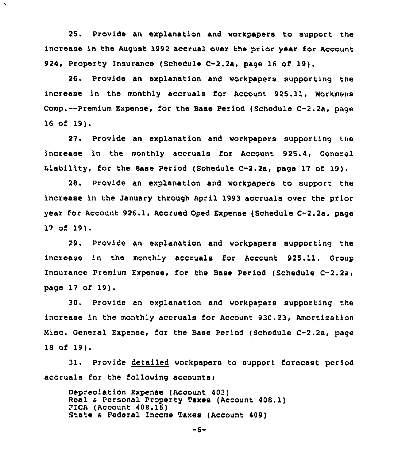25. Provide an explanation and workpapers to support the increase in the August 1992 accrual over the prior year for Account 924, Property Insurance (Schedule C-2.2a, page 16 of 19).

 $\blacktriangleleft$ 

26. Provide an explanation and workpapers supporting the increase in the monthly accruals for Account 925.11, Workmens Comp.--Premium Expense, for the Base Period (Schedule C-2.2a, page 16 of 19).

27. Provide an explanation and workpapers supporting the increase in the monthly accruals for Account 925.4, General Liability, for the Base Period (Schedule C-2.2a, page 17 of 19).

28. Provide an explanation and workpapers to support the increase in the January through April 1993 accruals over the prior year for Account 926.1, Accrued Oped Expense (Schedule C-2.2a, page 17 of 19).

29. Provide an explanation and workpapers supporting the increase in the monthly accruals for Account 925.11, Group Insurance Premium Expense, for the Base Period (Schedule C-2.2a, page 17 of 19).

30. Provide an explanation and workpapers supporting the increase in the monthly accruals for Account 930.23, Amortization Misc. General Expense, for the Base Period (Schedule C-2.2a, page <sup>18</sup> of 19}.

31, Provide detailed workpapers to support forecast period accruals for the following accounts:

Depreciation Expense (Account 403) Real & Personal Property Taxes (Account 408.1) FICA (Account 408.16) State <sup>4</sup> Federal Income Taxes (Account 409)

 $-6 -$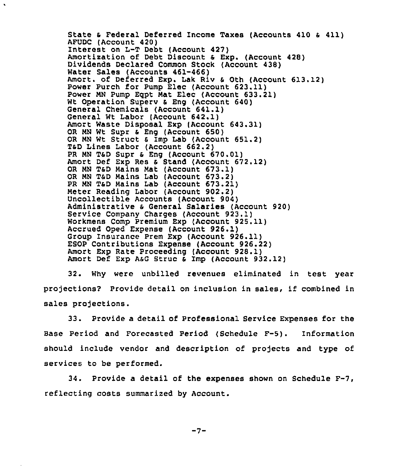State & Federal Deferred Income Taxes (Accounts 410 & 411)<br>AFUDC (Account 420) Interest on L-T Debt (Account 427) Amortization of Debt Discount & Exp. (Account 428) Dividends Declared Common Stock (Account 438) Water Sales (Accounts 461-466) Amort. of Deferred Exp. Lak Riv <sup>6</sup> 0th (Account 613.12) Power Purch for Pump Elec {Account 623.11) Power NN Pump Egpt Nat Elec (Account 633.21) Wt Operation Superv & Eng (Account 640) General Chemicals {Account 641.1) General Wt Labor (Account 642.1) Amort Waste Disposal Exp (Account 643.31) OR MN Wt Supr & Eng (Account 650) OR MN Wt Struct & Imp Lab (Account 651.2) TsD Lines Labor (Account 662.2) PR MN T&D Supr & Eng (Account 670.01) Amort Def Exp Res & Stand (Account 672.12) OR NN TaD Mains Mat (Account 673.1} OR NN TSD Mains Lab (Account 673.2) PR NN T6D Mains Lab (Account 673.21) Meter Reading Labor {Account 902.2) Uncollectible Accounts {Account 904} Administrative & General Salaries (Account 920) Service Company Charges (Account 923.1) Workmens Comp Premium Exp (Account 925.11) Accrued Oped Expense (Account 926.1) Group Insurance Prem Exp {Account 926.11) ESOP Contributions Expense (Account 926.22) Amort Exp Rate Proceeding {Account 928.1) Amort Def Exp AsG Struc & Imp (Account 932.12)

 $\hat{\mathbf{r}}$ 

32. Why were unbilled revenues eliminated in test year projections? Provide detail on inclusion in sales, if combined in sales projections.

33. Provide a detail of Professional Service Expenses for the Base Period and Forecasted Period (Schedule F-5). Information should include vendor and description of projects and type of services to be performed.

34. Provide a detail of the expenses shown on Schedule F-7, reflecting costs summarized by Account.

$$
-7-
$$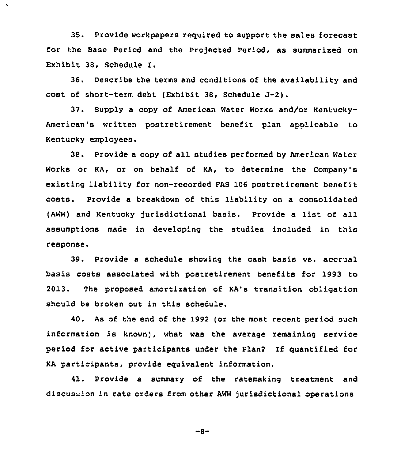35. Provide workpapers required to support the sales forecast for the Base Period and the Projected Period, as summarized on Exhibit 38, Schedule I.

 $\bullet$ 

36. Describe the terms and conditions of the availability and cost of short-term debt (Exhibit 38, Schedule J-2).

37. Supply a copy of American Water Works and/or Kentucky-American's written postretirement benefit plan apolicable to Kentucky employees.

38. Provide <sup>a</sup> copy of all studies performed by Anerican Water Works or KA, or on behalf of KA, to determine the Company's existing liability for non-recorded FAS 106 postretirement benefit costs. Provide a breakdown of this liability on a consolidated (AWW) and Kentucky Jurisdictional basis. Provide <sup>a</sup> list of all assumptions made in developing the studies included in this response.

39. Provide a schedule showing the cash basis vs. accrual basis costs associated with postretirement benefits for 1993 to 2013. The proposed amortization of KA's transition obligation should be broken out in this schedule.

40. As of the end of the 1992 (or the most recent period such information is known), what was the average remaining service period for active participants under the Plan? If quantified for KA participants, provide equivalent information.

41. Provide a summary of the ratemaking treatment and discussion in rate orders from other AWW jurisdictional operations

 $-8-$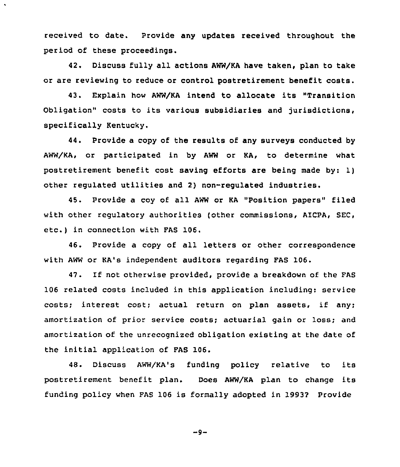received to date. Provide any updates received throughout the period of these proceedings.

42. Discuss fully all actions AWW/KA have taken, plan to take or are reviewing to reduce or control postretirement benefit costs.

43. Explain how AWW/KA intend to allocate its "Transition Obligation" costs to its various subsidiaries and jurisdictions, specifically Kentucky.

44. Provide a copy of the results of any surveys conducted by AWW/KA, or participated in by AWW or KA, to determine what postretirement benefit cost saving efforts are being made by: 1) other regulated utilities and 2) non-regulated industries.

45. Provide a coy of all AWW or KA "Position papers" filed with other regulatory authorities (other commissions, AICPA, SEC, etc.) in connection with FAS 106.

46. Provide a copy of all letters or other correspondence with AWW or KA's independent auditors regarding FAS 106.

47. If not otherwise provided, provide a breakdown of the FAS 106 related costs included in this application including: service costs; interest cost; actual return on plan assets, if any; amortization of prior service costs; actuarial gain or loss; and amortization of the unrecognized obligation existing at the date of the initial application of FAS 106.

48. Discuss AWW/KA's funding policy relative to its postretirement benefit plan. Does AWW/KA plan to change its funding policy when FAS 106 is formally adopted in 19932 Provide

 $-9-$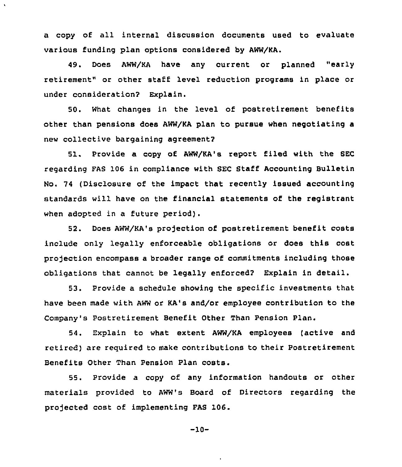a copy of all internal discussion documents used to evaluate various funding plan options considered by AWW/KA.

 $\tilde{\mathbf{v}}$ 

49. Does AWW/KA have any current or planned "early retirement" or other staff level reduction programs in place or under consideration? Explain.

50. What changes in the level of postretirement benefits other than pensions does AWW/KA plan to pursue when negotiating a new collective bargaining agreement2

51. Provide a copy of AWW/KA's report filed with the SEC regarding FAS 106 in compliance with SEC Staff Accounting Bulletin No. 74 (Disclosure of the impact that recently issued accounting standards will have on the financial statements of the registrant when adopted in a future period).

52. Does AWW/KA's projection of postretirement benefit costs include only legally enforceable obligations or does this cost projection encompass a broader range of commitments including those obligations that cannot be legally enforced? Explain in detail.

53. Provide a schedule showing the specific investments that have been made with AWW or KA's and/or employee contribution to the Company's Postretirement Benefit Other Than Pension Plan.

54. Explain to what extent AWW/KA employees (active and retired) are reguired to make contributions to their Postretirement Benefits Other Than Pension Plan costs.

55. Provide a copy of any information handouts or other materials provided to AWW's Board of Directors regarding the projected cost of implementing FAS 106.

-10-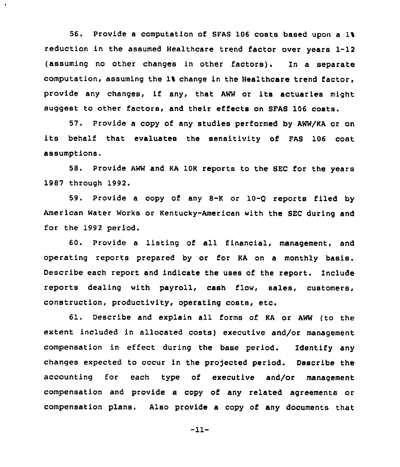56. Provide a computation of SFAS 106 costs based upon a 11 reduction in the assumed Healthcare trend factor over years 1-12 (assuming no other changes in other factors). In a separate computation, assuming the 1% change in the Healthcare trend factor, provide any changes, if any, that AWW or its actuaries might suggest to other factors, and their effects on SFAS 106 costs.

57. Provide a copy of any studies performed by AWW/KA or on its behalf that evaluates the sensitivity of FAS <sup>106</sup> cost assumptions.

58. Provide AWW and KA 10K reports to the SEC for the years 1987 through 1992.

59. Provide a copy of any 8-K or 10-Q reports filed by American Water Works or Kentucky-American with the SEC during and for the 1992 period.

60. Provide <sup>a</sup> listing of all financial, management, and operating reports prepared by or for KA on a monthly basis. Describe each report and indicate the uses of the report. Include reports dealing with payroll, cash flow, sales, customers, construction, productivity, operating costs, etc.

61. Describe and explain all forms of KA or AWW (to the extent included in allocated costs) executive and/or management compensation in effect during the base period. Identify any changes expected to occur in the projected period. Describe the accounting for each type of executive and/or management compensation and provide a copy of any related agreements or compensation plans. Also provide a copy of any documents that

-11-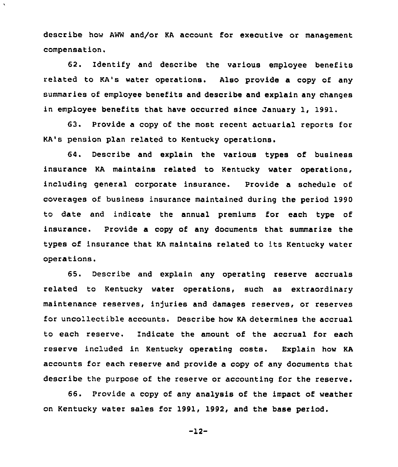describe how AWW and/or KA account for executive or management compensation.

 $\boldsymbol{\lambda}$ 

62. Identify and describe the various employee benefits related to KA's water operations. Also provide a copy of any summaries of employee benefits and describe and explain any changes in employee benefits that have occurred since January 1, 1991.

63. Provide a copy of the most recent actuarial reports for KA's pension plan related to Kentucky operations.

64. Describe and explain the various types of business insurance KA maintains related to Kentucky water operations, including general corporate insurance. Provide a schedule of coverages of business insurance maintained during the period 1990 to date and indicate the annual premiums for each type of insurance. Provide a copy of any documents that summarize the types of insurance that KA maintains related to its Kentucky water operations.

65. Describe and explain any operating reserve accruals related to Kentucky water operations, such as extraordinary maintenance reserves, injuries and damages reserves, or reserves for uncollectible accounts. Describe how KA determines the accrual to each reserve. Indicate the amount of the accrual for each reserve included in Kentucky operating costs. Explain how KA accounts for each reserve and provide a copy of any documents that describe the purpose of the reserve or accounting for the reserve.

66. Provide a copy of any analysis of the impact of weather on Kentucky water sales for 1991, 1992, and the base period.

-12-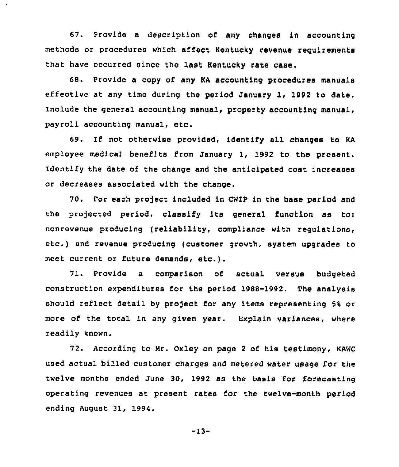67. Provide a description of any changes in accounting methods or procedures which affect Kentucky revenue requirements that have occurred since the last Kentucky rate case.

68. Provide a copy of any KA accounting procedures manuals effective at any time during the period January 1, 1992 to date. Include the general accounting manual, property accounting manual, payroll accounting manual, etc.

69. If not otherwise provided, identify all changes to KA employee medical benefits from January 1, 1992 to the present. Identify the date of the change and the anticipated cost increases or decreases associated with the change.

70. For each project included in CWIP in the base period and the projected period, classify its general function as to: nonrevenue producing (reliability, compliance with regulations, etc.) and revenue producing (customer growth, system upgrades to meet current or future demands, etc.).

71. Provide a comparison of actual versus budgeted construction expenditures for the period 1988-1992. The analysis should reflect detail by project for any items representing 5% or more of the total in any given year. Explain variances, where readily known.

72. According to Mr. Oxley on page 2 of his testimony, KAWC used actual billed customer charges and metered water usage for the twelve months ended June 30, 1992 as the basis for forecasting operating revenues at present rates for the twelve-month period ending August 31, 1994.

 $-13-$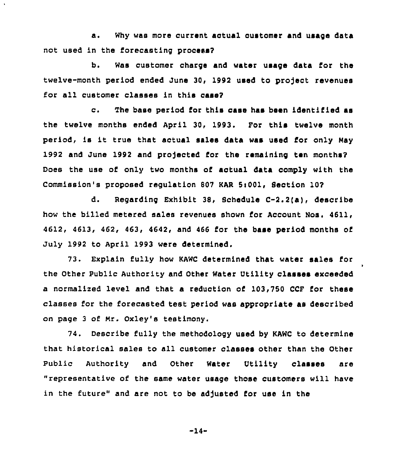a. Why was more current actual customer and usage data not used in the forecasting process?

 $\ddot{\phantom{a}}$ 

b. Was customer charge and water usage data for the twelve-month period ended June 30, 1992 used to project revenues for all customer classes in this case?

c. The base period for this case has been identified aa the twelve months ended April 30, 1993. For this twelve month period, is it true that actual sales data was used for only May 1992 and June 1992 and projected for the remaining ten months? Does the use of only two months of actual data comply with the Commission's proposed regulation 807 KAR Si001, Seotion 10?

d. Regarding Exhibit 38, Schedule C-2.2(a), describe how the billed metered sales revenues shown for Account Nos. 4611, 4612, 4613, 462, 463, 4642, and 466 for the base period months of July 1992 to April 1993 were determined.

73. Explain fully how KAWC determined that water sales 1'or the other public Authority and other water Utility classes exceeded a normalized level and that a reduction of 103,750 CCF for these classes for the forecasted test period was appropriate as described on page <sup>3</sup> of Mr. Oxley's testimony.

74. Describe fully the methodology used by KAWC to determine that historical sales to all customer classes other than the Other Public Authority and Other Water Utility classes are "representative of the same water usage those customers will have in the future" and are not to be adjusted for use in the

 $-14-$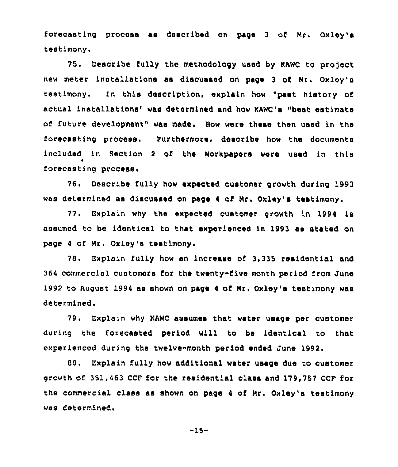forecasting process as described on page <sup>3</sup> of Nr. Oxley's testimony.

75. Describe fully the methodology used by KAWC to project new meter installations as discussed on page <sup>3</sup> of Nr. Oxloy's testimony. In this description, explain how "past history of actual installations" wae determined and how KAWC's "best estimate of future development" wae made. How were these then used in the forecasting process, Furthermore, describe how the documents included in Section <sup>2</sup> of the Workpapers were used in this forecasting process.

76. Describe fully how expected customer growth during 1993 was determined as discussed on page <sup>4</sup> of Nr. Oxley's testimony.

77. Explain why the expected customer growth in 1994 is assumed to be identical to that experienced in 1993 as stated on page <sup>4</sup> of Mr. Oxley's testimony,

78, Explain fully how an increase of 3,335 residential and 364 commercial customers for the twenty-five month period from June 1992 to August 1994 as shown on page <sup>4</sup> of Nr. Oxley's testimony was determined.

79. Explain why KAWC assumes that water usage per customer during the forecasted period will to be identical to that experienced during the twelve-month period ended June 1992.

80. Explain fully how additional water usage due to customer growth of 351,463 CCF for the residential class and 179,757 CCF for the commercial class as shown on page <sup>4</sup> of Nr. Oxley's testimony was determined.

"15-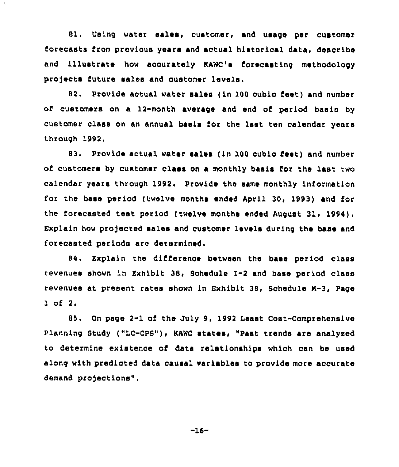81. Using water sales, customer, and usage per customer forecasts from previous years and actual historical data, describe and illustrate how accurately KANC's forecasting methodology projects future sales and customer levels.

82. Provide actual water sales ( in 100 cubic feet) and number of customers on a 12-month average and end of period basis by customer class on an annual basis for the last ten calendar years through 1992.

83. Provide actual water sales (in 100 cubic feet) and number of customers by customer class on a monthly basis for the last two calendar years through 1992. Provide the same monthly information for the base period {twelve months ended April 30, 1993) and for the forecasted teat period (twelve months ended August 31, 1994). Explain how pro)ected sales and customer levels during the base and forecasted periods are determined,

84. Explain the difierence between the base period class revenues shown in Exhibit 38, Sohedule 1-2 and base period class revenues at present rates shown in Exhibit 38, 8chedule M-3, Page 1 of 2,

85. On page 2-1 of the July 9, 1992 Least Cost-Comprehensive Planning Study ("LC-CPS"), KAWC states, "Past trends ars analyzed to determine existence of data relationships which can be used along with predicted data causal variables to provide more accurate demand projections".

-16-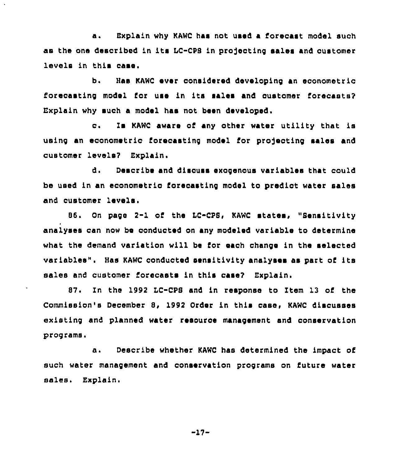a. Explain why KAWC has not used a forecast model such as the one described in its LC-CPS in projecting sales and customer levels in this case.

b. Has KAWC ever considered developing an econometric forecasting model for use in its sales and oustomer forecasts? Explain why such a model has not been developed.

c. Is KAWC aware of any other water utility that is using an econometric forecasting model for projecting sales and customer levels'? Explain.

d. Desoribe and discuss exogenous variables that could be used in an econometrio forecasting model to predict water sales and customer levels.

86. On page 2-1 of the IC-CPS, KAWC states, "Sensitivity analyses can now be conducted on any modeled variable to determine what the demand variation will be for each change in the selected variables". Has KAWC conducted sensitivity analyses as part of its sales and customer forecasts in this case? Explain.

87. In the 1992 LC-CPS and in response to Item 13 of the Commission's December 8, 1992 Order in this case, KAWC discusses existing and planned water resource management and conservation programs.

a. Describe whether KAWC has determined the impact of such water management and oonservation programs on future water sales. Explain.

 $-17-$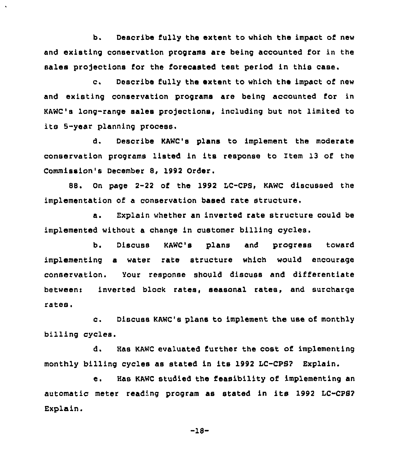b. Describe fully the extent to which the impact of new and existing conservation programs are being accounted for in the sales projections for the forecasted test period in this case.

c. Describe fully the extent to which the impact of new and existing conservation programs are being accounted for in KAWC's long-range sales projections, including but not limited to its 5-year planning process.

d. Describe KAWC'e plans to implement the moderate conservation programs listed in its response to Item 13 of the Commission's December 8, 1992 Order.

88, On page 2-22 of the 1992 LC-CPS, KAWC discussed the implementation of a conservation based rate structure.

a. Explain whether an inverted rate structure could be implemented without a change in customer billing cycles.

b. Discuss KAWC's plans and progress toward implementing a water rate structure which would encourage conservation. Your response should discuss and differentiate between: inverted block rates, seasonal rates, and surcharge rates.

c. Discuss KAWC's plans to implement the use of monthly billing cycles.

d. Has KAWC evaluated further the cost of implementing monthly billing cycles as stated in its 1992 LC-CPS? Explain.

e. Has KAWC studied the feasibility of implementing an automatic meter reading program as stated in its <sup>1992</sup> LC-CPS2 Explain.

-18-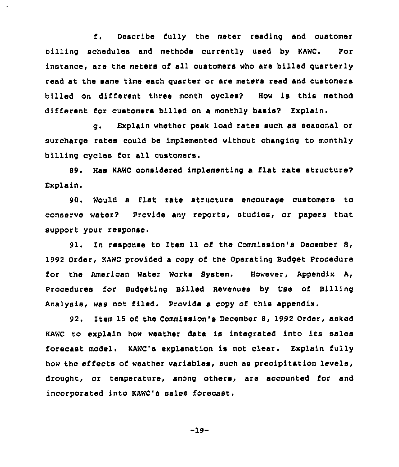f. Describe fully the meter reading and customer billing schedules and methods currently used by KAWC. For instance, are the meters of all customers who are billed quarterly read at the same time each quarter or are meters read and customers billed on different three month cyoles7 How is this method different for customers billed on a monthly basis? Explain.

g. Explain whether peak load rates such as seasonal or surcharge rates could be implemented without changing to monthly billing cycles for all customers.

S9 <sup>~</sup> Has KAWC considered implementing a flat rate structure? Explain,

90. Would a flat rate structure encourage customers to conserve water? Provide any reports, studies, or papers that support your response.

91. In response to Item 11 of the Commission's December 8, 1992 Order, KAWC provided a copy of the Operating Budget Procedure for the American Water Works System. However, Appendix A, Procedures for Budgeting Billed Revenues by Use of Billing Analysis, was not filed. Provide a copy of this appendix.

92. Item 15 of the Commission's December 8, 1992 Order, asked KAWC to explain how weather data is integrated into its sales forecast model. KAWC's explanation is not clear. Explain fully how the effects of weather variables, such as precipitation levels, drought, or temperature, among others, are accounted for and incorporated into KAWC's sales forecast.

-19-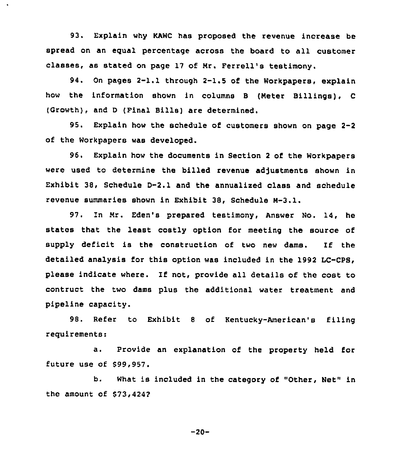93. Explain why KAWC has proposed the revenue increase be spread on an equal percentage across the board to all customer classes, as stated on page 17 of Nr. Ferrell's testimony.

94. On pages 2-1.1 through 2-1.5 of the Workpapers, explain how the information shown in columns <sup>B</sup> (Neter Billings), <sup>C</sup> (Growth), and <sup>D</sup> (Final Bills) are determined.

95. Explain how the schedule of customers shown on page 2-2 of the Workpapers was developed.

96. Explain how the documents in Section <sup>2</sup> of the Workpapers were used to determine the billed revenue adjustments shown in Exhibit 38, Schedule D-2.1 and the annualixed class and schedule revenue summaries shown in Exhibit 38, Schedule N-3.l.

97. In Nr. Eden's prepared testimony, Answer No. 14, he states that the least costly option for meeting the source of supply deficit is the construction of two new dams. If the detailed analysis for this option was included in the 1992 LC-CPS, please indicate where. If not, provide all details of the cost to contruct the two dame plus the additional water treatment and pipeline capacity.

98. Refer to Exhibit <sup>8</sup> of Kentucky-American's filing requirements:

a. Provide an explanation of the property held for future use of \$99,957.

b. What is included in the category of "Other, Net" in the amount of \$73,4242

 $-20-$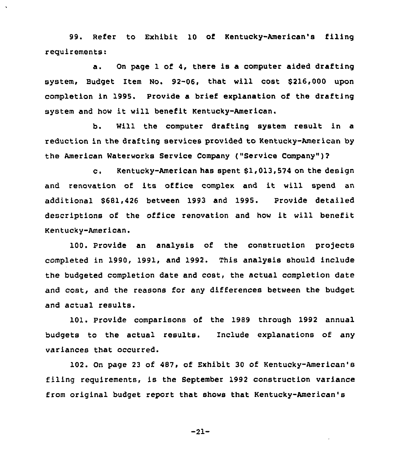99. Refer to Exhibit 10 of Kentucky-American's filing requirements:

a. On page <sup>1</sup> of 4, there is a computer aided drafting system, Budget Item No. 92-06, that will cost \$ 216,000 upon completion in 1995. Provide a brief explanation of the drafting system and how it will benefit Kentucky-American.

b. Will the computer drafting system result in a reduction in the drafting services provided to Kentucky-American by the American Waterworks Service Company ("Service Company" )?

c, Kentucky-American has spent 61,013,574 on the design and renovation of its office complex and it will spend an additional 566li426 between 1993 and 1995. Provide detailed descriptions of the office renovation and how it will benefit Kentucky-American.

100. Provide an analysis of the construction projects completed in 1990, 1991, and 1992. This analysis should include the budgeted completion date and cost, the actual completion date and cost, and the reasons for any differences between the budget and actual results.

101. Provide comparisons of the 1989 through 1992 annual budgets to the actual results. Include explanations of any variances that occurred.

102. On page 23 of 487, of Exhibit 30 of Kentucky-American's filing requirements, is the September 1992 construction variance from original budget report that shows that Kentucky-American'8

-21-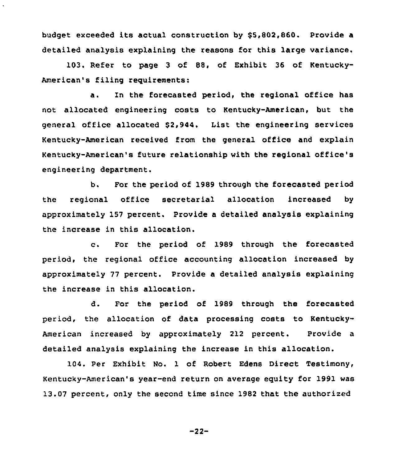budget exceeded its actual construction by \$5,802,860. Provide a detailed analysis explaining the reasons for this large variance.

103. Refer to page 3 of 88, of Exhibit 36 of Kentucky-American's filing requirements:

a. In the forecasted period, the regional office has not allocated engineering costs to Kentucky-American, but the general office allocated \$2,944. List the engineering services Kentucky-American received from the general office and explain Kentucky-American's future relationship with the regional office's engineering department.

b. For the period of 1989 through the forecasted period the regional office secretarial allocation increased by approximately 157 percent. Provide a detailed analysis explaining the increase in this allocation.

c. For the period of <sup>1989</sup> through the forecasted period, the regional office accounting allocation increased by approximately 77 percent. Provide a detailed analysis explaining the increase in this allocation.

d. For the period of 1989 through the forecasted period, the allocation of data processing costs to Kentucky-American increased by approximately 212 percent. Provide a detailed analysis explaining the increase in this allocation.

104. Per Exhibit No. 1 of Robert Edens Direct Testimony, Kentucky-American's year-end return on average equity for 1991 was 13.07 percent, only the second time since 1982 that the authorized

-22-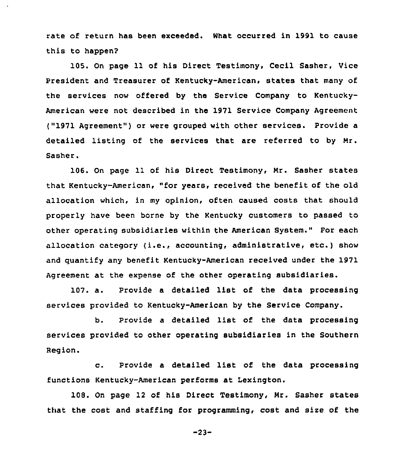rate of return has been exceeded. What occurred in 1991 to cause this to happen?

105. On page 11 of his Direct Testimony, Cecil Sasher, Vice President and Treasurer of Kentucky-American, states that many of the services now offered by the Service Company to Kentucky-American were not described in the 1971 Service Company Agreement ("1971 Agreement" ) or were grouped with other services. Provide a detailed listing of the services that are referred to by Mr. Sasher.

106. On page 11 of his Direct Testimony, Mr. Sasher states that Kentucky-American, "for years, received the benefit of the old allocation which, in my opinion, often caused costs that should properly have been borne by the Kentucky customers to passed to other operating subsidiaries within the American System." For each allocation category (i.e., accounting, administrative, etc.) show and quantify any benefit Kentucky-American received under the 1971 Agreement at the expense of the other operating subsidiaries.

107. a. Provide <sup>a</sup> detailed list of the data processing services provided to Kentucky-American by the Service Company.

b. Provide <sup>a</sup> detailed list of the data processing services provided to other operating subsidiaries in the Southern Region.

c. Provide <sup>a</sup> detailed list of the data processing functions Kentucky-American performs at Lexington.

108. On page 12 of his Direct Testimony, Mr. Sasher states that the cost and staffing for programming, cost and size of the

 $-23-$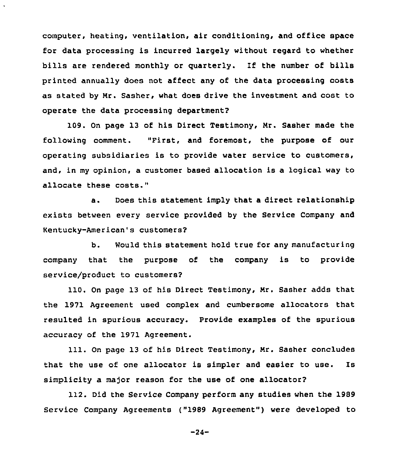computer, heating, ventilation, air conditioning, and office space for data processing is incurred largely without regard to whether bills are rendered monthly or quarterly. If the number of bills printed annually does not affect any of the data processing costs as stated by Nr. Sasher, what does drive the investment and cost to operate the data processing department?

109. On page 13 of his Direct Testimony, Nr. Sasher made the following comment. "First, and foremost, the purpose of our operating subsidiaries is to provide water service to customers, and, in my opinion, a customer based allocation is a logical way to allocate these costs."

a. Does this statement imply that a direct relationship exists between every service provided by the Service Company and Kentucky-American's customers?

b. Would this statement hold true for any manufacturing company that the purpose of the company is to provide service/product to customers?

110. On page 13 of his Direct Testimony, Nr. Sasher adds that the 1971 Agreement used complex and cumbersome allocators that resulted in spurious accuracy. Provide examples of the spurious accuracy of the 1971 Agreement.

111. On page 13 of his Direct Testimony, Nr. Sasher concludes that the use of one allocator is simpler and easier to use. Is simplicity a major reason for the use of one allocator?

112. Did the Service Company perform any studies when the 1989 Service Company Agreements ("1989 Agreement" ) were developed to

-24-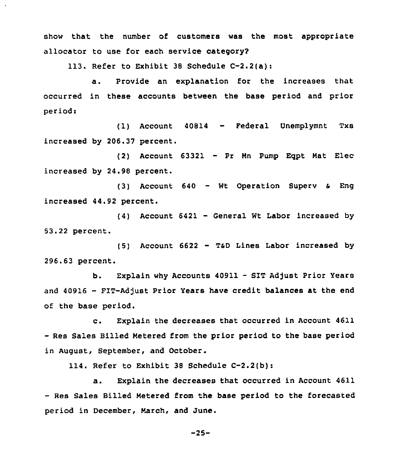show that the number of customers was the most appropriate allocator to use for each service category2

113. Refer to Exhibit 38 Schedule C-2.2(a):

a. Provide an explanation for the increases that occurred in these accounts between the base period and prior period:

(1) Account <sup>40814</sup> - Federal Unemplymnt Txs increased by 206.37 percent.

(2) Account 63321 — Pr Mn Pump Eqpt Mat Elec increased by 24.98 percent.

(3) Account 640 — Wt Operation Superv <sup>a</sup> Eng increased 44.92 percent.

(4) Account 6421 — General Wt Labor increased by 53.22 percent.

(5) Account 6622 — TsD Lines Labor increased by 296.63 percent.

b. Explain why Accounts 40911 - SIT Adjust Prior Years and 40916 - FIT-Adjust Prior Years have credit balances at the end of the base period.

c. Explain the decreases that occurred in Account <sup>4611</sup> —Res Sales Billed Metered from the prior period to the base period in August, September, and October.

114. Refer to Exhibit 38 Schedule C-2.2(b):

a. Explain the decreases that occurred in Account 4611 — Res Sales Billed Metered from the hase period to the forecasted period in December, March, and June.

 $-25-$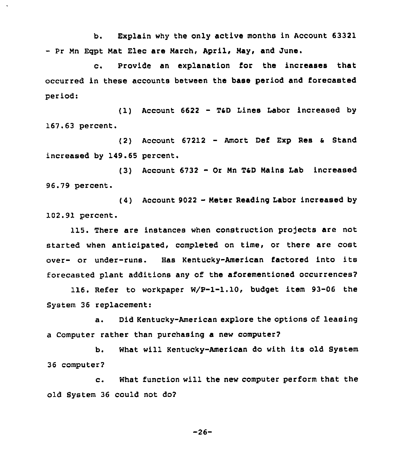b. Explain why the only active months in Account 63321 - Pr Mn Eqpt Mat Elec are March, April, May, and June.

c. Provide an explanation for the increases that occurred in these accounts between the base period and forecasted period:

(1) Account 6622 - T&D Lines Labor increased by 167.63 percent.

(2) Account  $67212$  - Amort Def Exp Res & Stand increased by 149.65 percent.

(3) Account <sup>6732</sup> - Or Nn TaD Mains Lab increased 96.79 percent.

(4) Account <sup>9022</sup> - Meter Reading Labor increased by 102.91 percent.

115. There are instances when construction pro)ects are not started when anticipated, completed on time, or there are cost over- or under-runs. Has Kentucky-American factored into its forecasted plant additions any of the aforementioned occurrences?

116. Refer to workpaper W/P-1-1.10, budget item 93-06 the System 36 replacement:

a. Did Kentucky-American explore the options of leasing a Computer rather than purchasing a new computer?

b. What will Kentucky-American do with its old System 36 computer?

c. What function will the new computer perform that the old System 36 could not do?

 $-26-$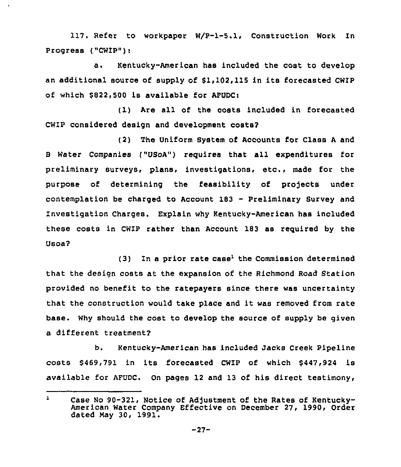117. Refer to workpaper W/P-1-5.1, Construction Work In Progress ("CWIP"):

a. Kentucky-American has included the cost to develop an additional source of supply of \$1,102,115 in its forecasted CWIP of which \$822,500 is available for AFUDC>

(1) Are all of the costs included in forecasted CWIP considered design and development costs?

(2) The Uniform System of Accounts for Class <sup>A</sup> and 8 Water Companies ("USoA") requires that all expenditures for preliminary surveys, plans, investigations, etc., made for the purpose of determining the feasibility of projects under contemplation be charged to Account <sup>183</sup> - Preliminary Survey and Investigation Charges. Explain why Kentucky-American has included these costs in CWIP rather than Account 183 as reguired by the Usoa?

 $(3)$  In a prior rate case<sup>1</sup> the Commission determined that the design costs at the expansion of the Richmond Road Station provided no benefit to the ratepayers since there was uncertainty that the construction would take place and it was removed from rate base. Why should the cost to develop the source of supply be given a different treatment?

b. Kentucky-American has included Jacks Creek Pipeline costs \$ 469,791 in its forecasted CWIP of which \$447,924 is available for AFUDC. On pages 12 and 13 of his direct testimony,

 $\mathbf{1}$ Case No 90-321, Notice of Adjustment of the Rates of Kentucky-American Water Company Effective on December 27, 1990, Order dated May 30, 1991.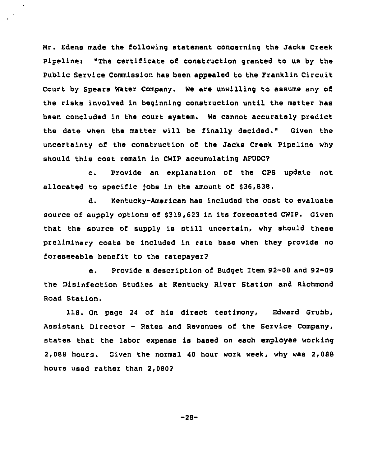Nr. Edens made the following statement concerning the Jacks Creek Pipeline: "The certificate of construction granted to us by the Public Service Commission has been appealed to the Franklin Circuit Court by Spears Water Company. We are unwilling to assume any of the risks involved in beginning construction until the matter has been concluded in the court system. We cannot accurately predict the date when the matter will be finally decided." Given the uncertainty of the construction of the Jacks Creek Pipeline why should th1s cost remain 1n CWIP accumulating AFUDC?

c. Provide an explanation of the CPS update not allocated to specific Jobs in the amount of 836,838.

d. Kentucky-American has 1ncluded the cost to evaluate source of supply options of \$319,623 in its forecasted CWIP. Given that the source of supply is still uncertain, why should these preliminary costs be included in rate base when they provide no foreseeable benefit to the ratepayer?

e. Provide <sup>a</sup> description of Budget Item 92-08 and 92-09 the Disinfection Studies at Kentucky River Station and Richmond Road Station.

1IB. On page <sup>24</sup> of his direct testimony, Edward Grubb, Assistant Director — Rates and Revenues of the Service Company, states that the labor expense is based on each employee working 2,088 hours. Given the normal 40 hour work week, why was 2,088 hours used rather than 2,080?

-28-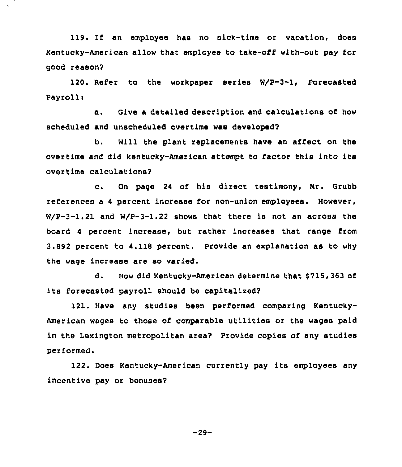119. If an employee has no sick-time or vacation, does Kentucky-American allow that employee to take-off with-out pay for good reason?

120. Refer to the workpaper series W/P-3-1, Forecasted Payrolli

a. Give <sup>a</sup> detailed description and calculations of how scheduled and unscheduled overtime was developed?

b. Will the plant replacements have an affect on the overtime and did kentucky-American attempt to factor this into its overtime calculations?

c. On page <sup>24</sup> of his direct testimony, Nr. Grubb references a <sup>4</sup> percent increase for non-union employees. However, W/P-3-1.21 and W/P-3-1.22 shows that there is not an across the board <sup>4</sup> percent increase, but rather increases that range from 3.892 percent to 4.118 percent. Provide an explanation as to why the wage increase are so varied.

d. How did Kentucky-American determine that \$715,363 of its forecasted payroll should be capitalized?

121. Have any studies been performed comparing Kentucky-American wages to those of comparable utilities or the wages paid in the Lexington metropolitan area? Provide copies of any studies performed.

122. Does Kentucky-American currently pay its employees any incentive pay or bonuses?

-29-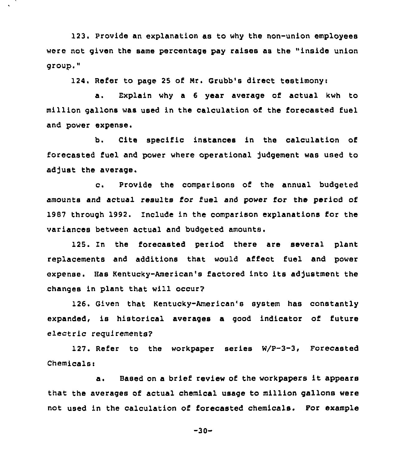123. Provide an explanation as to why the non-union employees were not given the same percentage pay raises as the "inside union group,"

124. Refer to page 25 of Nr. Grubb's direct testimonyi

a. Explain why a <sup>6</sup> year average of actual kwh to million gallons was used in the calculation of the forecasted fuel and power expense.

b. Cite specific instances in the calculation of forecasted fuel and power where operational Judgement was used to adjust the average.

c. Provide the comparisons of the annual budgeted amounts and actual results for fuel and power for the period of 1987 through 1992. Znciude in the comparison explanations for the variances between actual and budgeted amounts.

125. In the forecasted period there are several plant replacements and additions that would affect fuel and power expense. Has Kentucky-American's factored into its adjustment the changes in plant that will occur?

126. Given that Kentucky-American's system has constantly expanded, is historical averages a good indicator of future electric requirements?

127. Refer to the workpapez series W/P-3-3, Forecasted Chemicals:

a. Based on <sup>a</sup> brief review of the workpapers it appears that the averages of actual chemical usage to million gallons were not used in the calculation of forecasted chemicals. For example

 $-30-$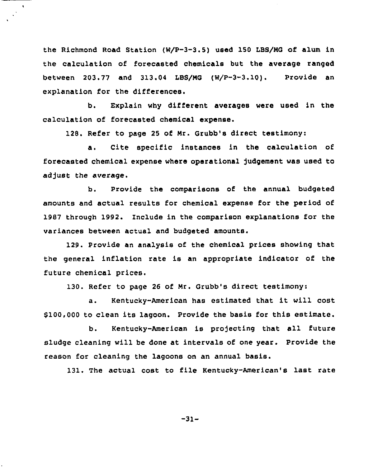the Richmond Road Station (W/P-3-3.5) used 150 LBS/MG of alum in the calculation of forecasted chemicals but the average ranged between 203.77 and 313.04 LBS/MG (W/P-3-3.10). Provide an explanation for the differences.

b. Explain why different averages were used in the calculation of forecasted chemical expanse.

128. Refer to page 25 of Mr. Grubb's direct testimony:

a. Cite specific instances in the calculation of forecasted chemical expense where operational judgement was used to adjust the average.

b. Provide the comparisons of the annual budgeted amounts and actual results for chemical expense for the period of 1987 through 1992. Include in the comparison explanations for the variances between actual and budgeted amounts.

129. Provide an analysis of the chemical prices showing that the general inflation rate is an appropriate indicator of the future chemical prices.

130. Refer to page 26 of Mr. Grubb's direct testimony:

a. Kentucky-American has estimated that it will cost \$100,000 to clean its lagoon. Provide the basis for this estimate.

b. Kentucky-American is projecting that all future sludge cleaning will be done at intervals of one year. Provide the reason for cleaning the lagoons on an annual basis.

131. The actual cost to file Kentucky-American's last rate

-31-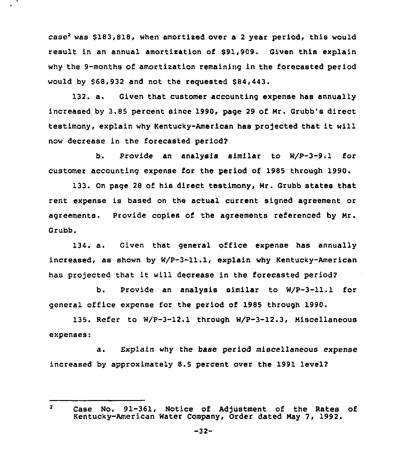case<sup>2</sup> was  $$183,818$ , when amortized over a 2 year period, this would result in an annual amortisation of 891,909, Given this explain why the 9-months of amortixation remaining in the forecasted period would by \$68,932 and not the requested \$84,443.

132. a. Given that customer accounting expense has annually increased by 3.85 percent since 1990, page 29 of Nr. Grubb's direct testimony, explain why Kentucky-American has projected that it will now decrease in the forecasted period?

b. Provide an analysis similar to W/P-3-9.1 for customer accounting expense for the period of 1985 through 1990.

133. On page 28 of his direct testimony, Nr. Grubb states that rent expense is based on the actual current signed agreement or agreements. Provide copies of the agreements referenced by Nr. Grubb.

134. a. Given that general office expense has annually increased, as shown by W/P-3-11.1, explain why Kentucky-American has projected that it will decrease in the forecasted period7

b. Provide an analysis similar to W/P-3-11.1 for general office expense for the period of 1985 through 1990.

135. Refer to W/P-3-12.1 through W/P-3-12.3, Niscellaneous expenses:

a. Explain why the base period miscellaneous expense increased by approximately 8.5 percent over the 1991 leve12

 $\overline{2}$ Case No. 91-361, Notice of Adjustment of the Rates of Kentucky-American Water Company, Order dated May 7, 1992.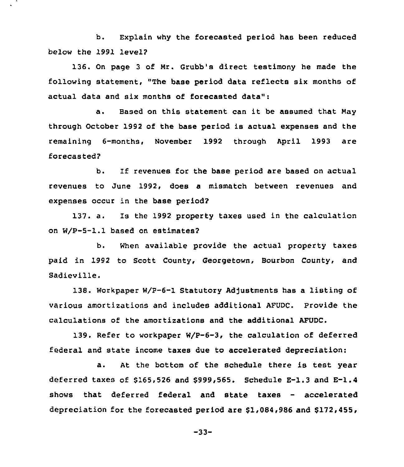b. Explain why the forecasted period has been reduced below the 1991 level?

136. On page <sup>3</sup> of Mr. Grubb's direct testimony he made the following statement, "The base period data reflects six months of actual data and six months of forecasted data":

a. Based on this statement can it be assumed that May through October 1992 of the base period is actual expenses and the remaining 6-months, November 1992 through April 1993 are forecasted?

b. If revenues for the base period are based on actual revenues to June 1992, does a mismatch between revenues and expenses occur in the base period?

137. a. Is the 1992 property taxes used in the calculation on W/P-5-1.1 based on estimates?

b. When available provide the actual property taxes paid in 1992 to Scott County, Georgetown, Bourbon County, and Sadieville.

138. Workpaper W/P-6-1 Statutory Adjustments has a listing of various amortizations and includes additional AFUDC. Provide the calculations of the amortizations and the additional AFUDC.

139. Refer to workpaper W/P-6-3, the calculation of deferred federal and state income taxes due to accelerated depreciation:

a. At the bottom of the schedule there is test year deferred taxes of \$165,526 and \$999,565. Schedule  $E-1.3$  and  $E-1.4$ shows that deferred federal and state taxes — accelerated depreciation for the forecasted period are 61,084,986 and \$172,455,

-33-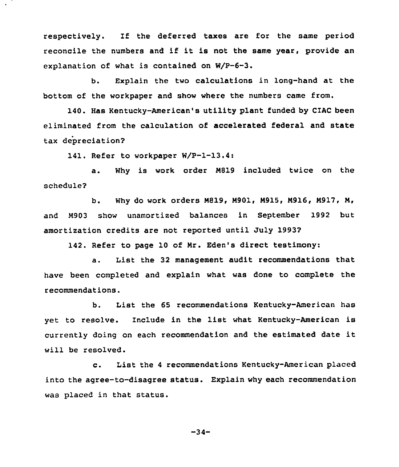respectively. If the deferred taxes are for the same period reconcile the numbers and if it is not the same year, provide an explanation of what is contained on W/P-6-3.

b. Explain the two calculations in long-hand at the bottom of the workpaper and show where the numbers came from.

140. Has Kentucky-American's utility plant funded by CIAC been eliminated from the calculation of accelerated federal and state tax depreciation?

141. Refer to workpaper W/P-1-13.4:

a. Why is work order N819 included twice on the schedule?

b. Why do work orders N819, N901, N915, N916, N917, N, and N903 show unamortized balances in September 1992 but amortization credits are not reported until July 1993?

142. Refer to page 10 of Nr. Eden's direct testimony:

a. List the 32 management audit recommendations that have been completed and explain what was done to complete the recommendations.

b. List the 65 recommendations Kentucky-American has yet to resolve. Include in the list what Kentucky-American is currently doing on each recommendation and the estimated date it will be resolved.

c. List the <sup>4</sup> recommendations Kentucky-American placed into the agree-to-disagree status. Explain why each recommendation was placed in that status.

-34-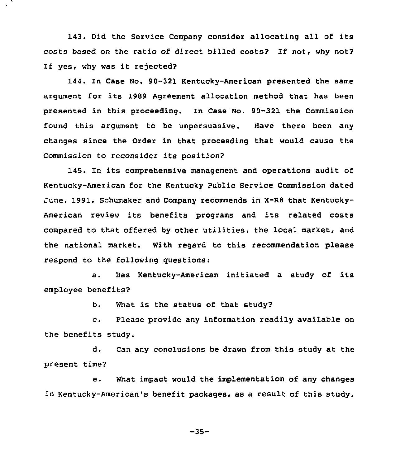143. Did the Service Company consider allocating all of its costs based on the ratio of direct billed costs? If not, why not? 1f yes, why was it rejected?

144. In Case No. 90-321 Kentucky-American presented the same argument for its 1989 Agreement allocation method that has been presented in this proceeding. In Case No. 90-321 the Commission found this argument to be unpersuasive. Have there been any changes since the Order in that proceeding that would cause the Commission to reconsider its position?

145. In its comprehensive management and operations audit of Kentucky-American for the Kentucky Public Service Commission dated June, 1991, Schumaker and Company recommends in X-RS that Kentucky-American review its benefits programs and its related costs compared to that offered by other utilities, the local market, and the national market. With regard to this recommendation please respond to the following guestions:

a. Has Kentucky-American initiated <sup>a</sup> study of its employee benefits?

b. What is the status of that study?

c. Please provide any information readily available on the benefits study.

d. Can any conclusions be drawn from this study at the present time?

e. What impact would the implementation of any changes in Kentucky-American's benefit packages, as a result of this study,

-35-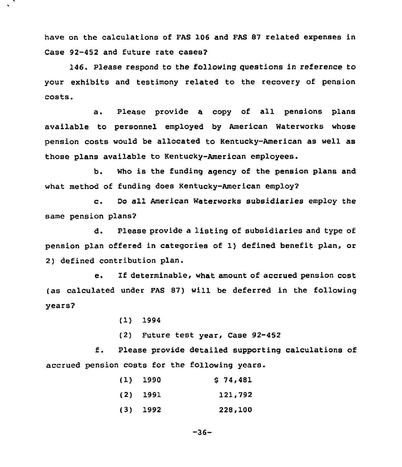have on the calculations of FAS 106 and FAS 87 related expenses in Case 92-452 and future rate cases?

146. Please respond to the following questions in reference to your exhibits and testimony related to the recovery of pension costs.

a. Please provide a copy of all pensions plans available to personnel employed by American Waterworks whose pension costs would be allocated to Kentucky-American as well as those plans available to Kentucky-American employees.

b. Who is the funding agency of the pension plans and what method of funding does Kentucky-American employ?

c. Do all American Waterworks subsidiaries employ the same pension plans?

d. Please provide a listing of subsidiaries and type of pension plan offered in categories of 1) defined benefit plan, or 2) defined contribution plan.

e. If determinable, what amount of accrued pension cost (as calculated under FAS 87) will be deferred in the following years?

(1) 1994

(2) Future test year, Case 92-452

f. Please provide detailed supporting calculations of accrued pension costs for the following years.

| $(1)$ 1990 | \$74,481 |
|------------|----------|
| $(2)$ 1991 | 121,792  |
| $(3)$ 1992 | 228,100  |

 $-36-$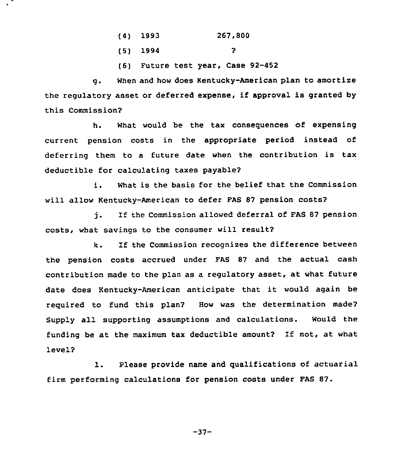- (4) 1993 267,800
- (5) 1994
- (6) Future test year, Case 92-452

 $\overline{P}$ 

g. When and how does Kentucky-American plan to amortize the regulatory asset or deferred expense, if approval is granted by this Commission?

h. What would be the tax consequences of expensing current pension costs in the appropriate period instead of deferring them to a future date when the contribution is tax deductible for calculating taxes payable?

i. What is the basis for the belief that the Commission will allow Kentucky-American to defer FAS 87 pension costs?

j. If the Commission allowed deferral of FAS <sup>87</sup> pension costs, what savings to the consumer will result?

k. If the Commission recognizes the difference between the pension costs accrued under FAS 87 and the actual cash contribution made to the plan as a regulatory asset, at what future date does Kentucky-American anticipate that it would again be required to fund this plan? How was the determination made? Supply all supporting assumptions and calculations. Would the funding be at the maximum tax deductible amount? If not, at what level?

1. Please provide name and qualifications of actuarial firm performing calculations for pension costs under FAS 87.

 $-37-$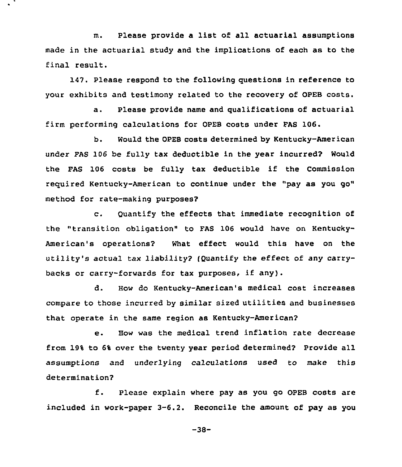m. Please provide a list of all actuarial assumptions made in the actuarial study and the implications of each as to the final result.

147. Please respond to the following questions in reference to your exhibits and testimony related to the recovery of OPEB costs.

a. Please provide name and qualifications of actuarial firm performing calculations for OPEB costs under FAS 106.

b. Would the OPEB costs determined by Kentucky-American under FAS 106 be fully tax deductible in the year incurred? Would the FAS <sup>106</sup> costs be fully tax deductible if the Commission required Kentucky-American to continue under the "pay as you go" method for rate-making purposes?

c. Quantify the effects that immediate recognition of the "transition obligation" to FAS 106 would have on Kentucky-American's operations? What effect would this have on the utility's actual tax liability? (Quantify the effect of any carrybacks or carry-forwards for tax purposes, if any).

d. How do Kentucky-American's medical cost increases compare to those incurred by similar sized utilities and businesses that operate in the same region as Kentucky-American?

e. Bow was the medical trend inflation rate decrease from 19'4 to 6% over the twenty year period determined? Provide all assumptions and underlying calculations used to make this determination?

f. please explain where pay as you go OpEB costs are included in work-paper 3-6.2. Reconcile the amount of pay as you

-38-